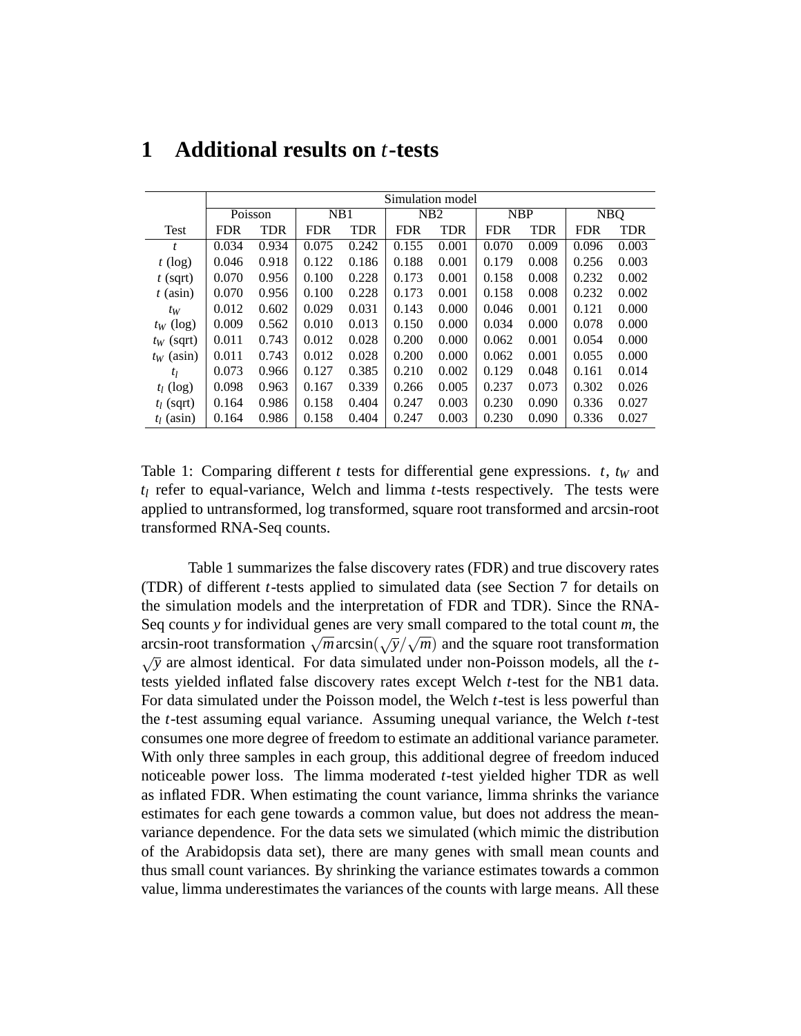|              | Simulation model |            |            |            |            |            |            |            |                                |            |
|--------------|------------------|------------|------------|------------|------------|------------|------------|------------|--------------------------------|------------|
|              | Poisson          |            | NB1        |            | NB2        |            | <b>NBP</b> |            | $\overline{\text{N}}\text{BQ}$ |            |
| <b>Test</b>  | <b>FDR</b>       | <b>TDR</b> | <b>FDR</b> | <b>TDR</b> | <b>FDR</b> | <b>TDR</b> | <b>FDR</b> | <b>TDR</b> | <b>FDR</b>                     | <b>TDR</b> |
| t            | 0.034            | 0.934      | 0.075      | 0.242      | 0.155      | 0.001      | 0.070      | 0.009      | 0.096                          | 0.003      |
| $t$ (log)    | 0.046            | 0.918      | 0.122      | 0.186      | 0.188      | 0.001      | 0.179      | 0.008      | 0.256                          | 0.003      |
| $t$ (sqrt)   | 0.070            | 0.956      | 0.100      | 0.228      | 0.173      | 0.001      | 0.158      | 0.008      | 0.232                          | 0.002      |
| $t$ (asin)   | 0.070            | 0.956      | 0.100      | 0.228      | 0.173      | 0.001      | 0.158      | 0.008      | 0.232                          | 0.002      |
| $t_W$        | 0.012            | 0.602      | 0.029      | 0.031      | 0.143      | 0.000      | 0.046      | 0.001      | 0.121                          | 0.000      |
| $t_W$ (log)  | 0.009            | 0.562      | 0.010      | 0.013      | 0.150      | 0.000      | 0.034      | 0.000      | 0.078                          | 0.000      |
| $t_W$ (sqrt) | 0.011            | 0.743      | 0.012      | 0.028      | 0.200      | 0.000      | 0.062      | 0.001      | 0.054                          | 0.000      |
| $t_W$ (asin) | 0.011            | 0.743      | 0.012      | 0.028      | 0.200      | 0.000      | 0.062      | 0.001      | 0.055                          | 0.000      |
| $t_l$        | 0.073            | 0.966      | 0.127      | 0.385      | 0.210      | 0.002      | 0.129      | 0.048      | 0.161                          | 0.014      |
| $t_l$ (log)  | 0.098            | 0.963      | 0.167      | 0.339      | 0.266      | 0.005      | 0.237      | 0.073      | 0.302                          | 0.026      |
| $t_l$ (sqrt) | 0.164            | 0.986      | 0.158      | 0.404      | 0.247      | 0.003      | 0.230      | 0.090      | 0.336                          | 0.027      |
| $t_1$ (asin) | 0.164            | 0.986      | 0.158      | 0.404      | 0.247      | 0.003      | 0.230      | 0.090      | 0.336                          | 0.027      |

## **1 Additional results on** *t***-tests**

Table 1: Comparing different *t* tests for differential gene expressions. *t*,  $t_W$  and *tl* refer to equal-variance, Welch and limma *t*-tests respectively. The tests were applied to untransformed, log transformed, square root transformed and arcsin-root transformed RNA-Seq counts.

Table 1 summarizes the false discovery rates (FDR) and true discovery rates (TDR) of different *t*-tests applied to simulated data (see Section 7 for details on the simulation models and the interpretation of FDR and TDR). Since the RNA-Seq counts *y* for individual genes are very small compared to the total count *m*, the arcsin-root transformation  $\sqrt{m}$  arcsin( $\sqrt{y}/\sqrt{m}$ ) and the square root transformation √*y* are almost identical. For data simulated under non-Poisson models, all the *t*tests yielded inflated false discovery rates except Welch *t*-test for the NB1 data. For data simulated under the Poisson model, the Welch *t*-test is less powerful than the *t*-test assuming equal variance. Assuming unequal variance, the Welch *t*-test consumes one more degree of freedom to estimate an additional variance parameter. With only three samples in each group, this additional degree of freedom induced noticeable power loss. The limma moderated *t*-test yielded higher TDR as well as inflated FDR. When estimating the count variance, limma shrinks the variance estimates for each gene towards a common value, but does not address the meanvariance dependence. For the data sets we simulated (which mimic the distribution of the Arabidopsis data set), there are many genes with small mean counts and thus small count variances. By shrinking the variance estimates towards a common value, limma underestimates the variances of the counts with large means. All these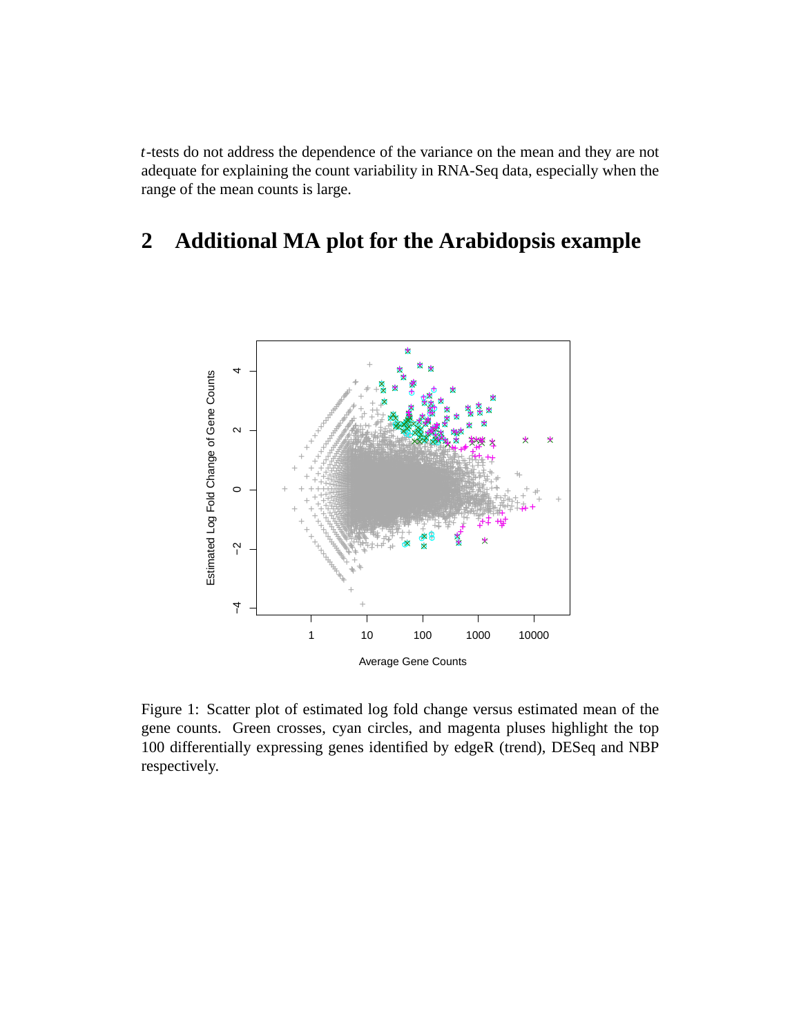*t*-tests do not address the dependence of the variance on the mean and they are not adequate for explaining the count variability in RNA-Seq data, especially when the range of the mean counts is large.

## $\overline{2}$ **Additional MA plot for the Arabidopsis example**



Figure 1: Scatter plot of estimated log fold change versus estimated mean of the gene counts. Green crosses, cyan circles, and magenta pluses highlight the top 100 differentially expressing genes identified by edgeR (trend), DESeq and NBP respectively.